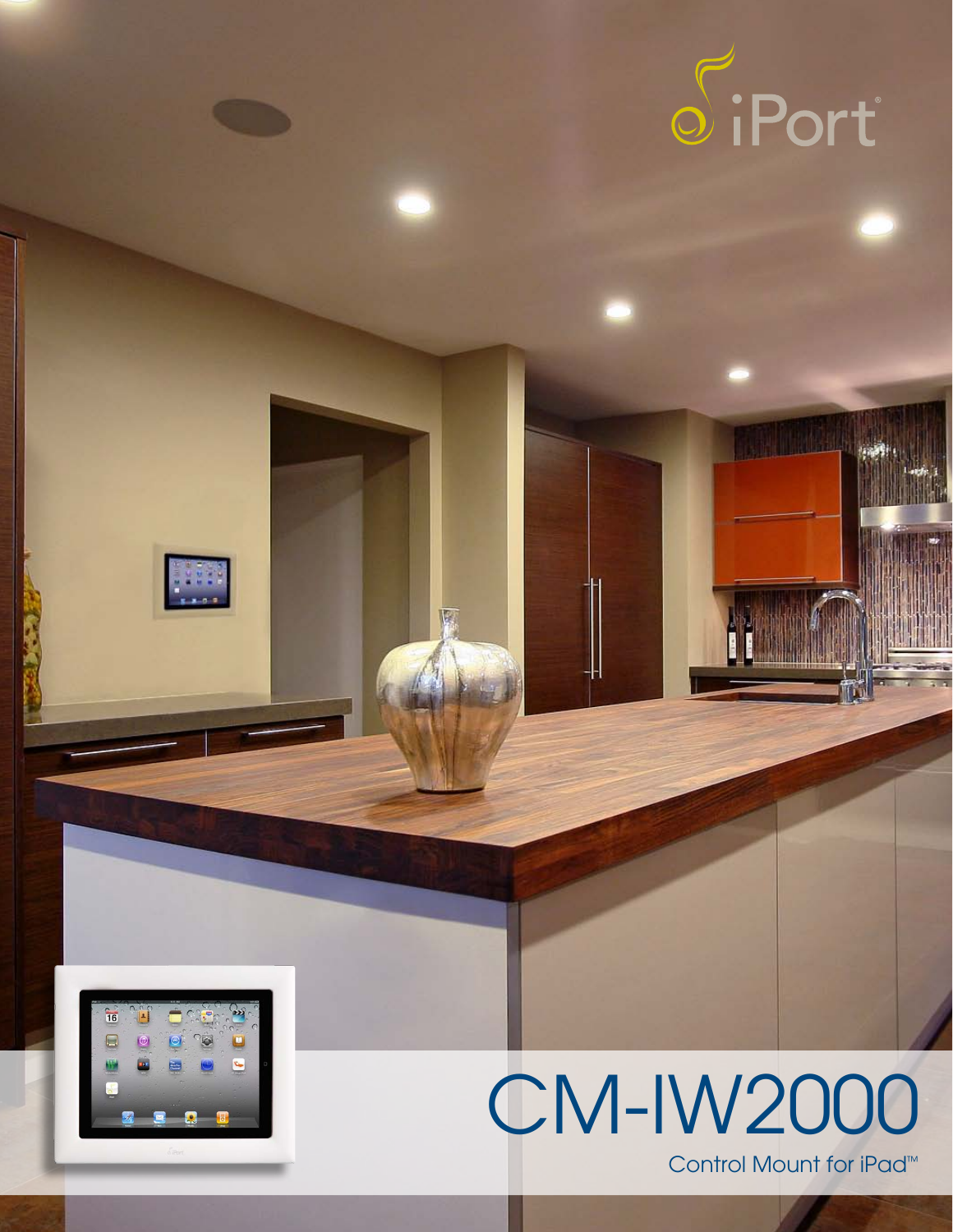



**THE** 

E



Control Mount for iPad™